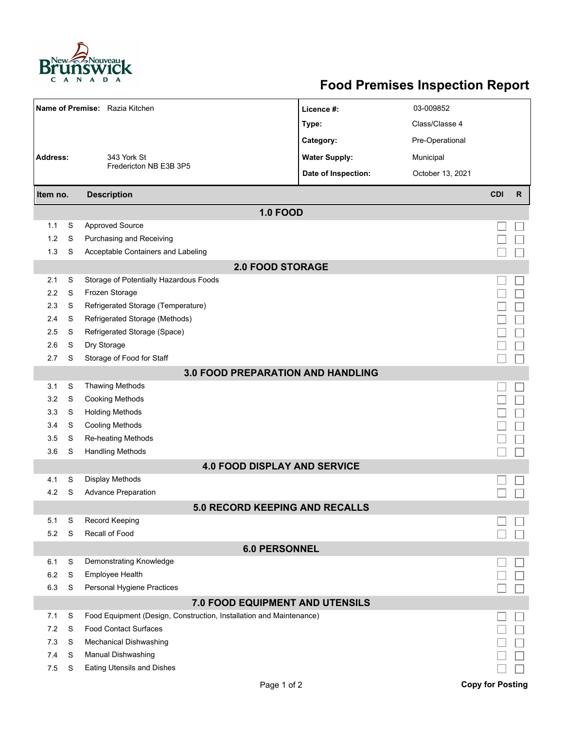

## **Food Premises Inspection Report**

| Name of Premise: Razia Kitchen           |   |                                                                     | Licence #:                          | 03-009852        |                         |  |  |  |  |  |
|------------------------------------------|---|---------------------------------------------------------------------|-------------------------------------|------------------|-------------------------|--|--|--|--|--|
|                                          |   |                                                                     | Type:                               | Class/Classe 4   |                         |  |  |  |  |  |
|                                          |   | 343 York St                                                         | Category:                           | Pre-Operational  |                         |  |  |  |  |  |
| <b>Address:</b>                          |   |                                                                     | <b>Water Supply:</b>                | Municipal        |                         |  |  |  |  |  |
|                                          |   | Fredericton NB E3B 3P5                                              | Date of Inspection:                 | October 13, 2021 |                         |  |  |  |  |  |
|                                          |   |                                                                     |                                     |                  |                         |  |  |  |  |  |
| Item no.                                 |   | <b>Description</b>                                                  |                                     | <b>CDI</b>       | $\mathsf{R}$            |  |  |  |  |  |
|                                          |   |                                                                     | <b>1.0 FOOD</b>                     |                  |                         |  |  |  |  |  |
| 1.1                                      | S | <b>Approved Source</b>                                              |                                     |                  |                         |  |  |  |  |  |
| 1.2                                      | S | Purchasing and Receiving                                            |                                     |                  |                         |  |  |  |  |  |
| 1.3                                      | S | Acceptable Containers and Labeling                                  |                                     |                  |                         |  |  |  |  |  |
| <b>2.0 FOOD STORAGE</b>                  |   |                                                                     |                                     |                  |                         |  |  |  |  |  |
| 2.1                                      | S | Storage of Potentially Hazardous Foods                              |                                     |                  |                         |  |  |  |  |  |
| 2.2                                      | S | Frozen Storage                                                      |                                     |                  |                         |  |  |  |  |  |
| 2.3                                      | S | Refrigerated Storage (Temperature)                                  |                                     |                  |                         |  |  |  |  |  |
| 2.4                                      | S | Refrigerated Storage (Methods)                                      |                                     |                  |                         |  |  |  |  |  |
| 2.5                                      | S | Refrigerated Storage (Space)                                        |                                     |                  |                         |  |  |  |  |  |
| 2.6                                      | S | Dry Storage                                                         |                                     |                  |                         |  |  |  |  |  |
| 2.7                                      | S | Storage of Food for Staff                                           |                                     |                  |                         |  |  |  |  |  |
| <b>3.0 FOOD PREPARATION AND HANDLING</b> |   |                                                                     |                                     |                  |                         |  |  |  |  |  |
| 3.1                                      | S | <b>Thawing Methods</b>                                              |                                     |                  |                         |  |  |  |  |  |
| 3.2                                      | S | <b>Cooking Methods</b>                                              |                                     |                  |                         |  |  |  |  |  |
| 3.3                                      | S | <b>Holding Methods</b>                                              |                                     |                  |                         |  |  |  |  |  |
| 3.4                                      | S | <b>Cooling Methods</b>                                              |                                     |                  |                         |  |  |  |  |  |
| 3.5                                      | S | Re-heating Methods                                                  |                                     |                  |                         |  |  |  |  |  |
| 3.6                                      | S | <b>Handling Methods</b>                                             |                                     |                  |                         |  |  |  |  |  |
|                                          |   |                                                                     | <b>4.0 FOOD DISPLAY AND SERVICE</b> |                  |                         |  |  |  |  |  |
| 4.1                                      | S | Display Methods                                                     |                                     |                  |                         |  |  |  |  |  |
| 4.2                                      | S | <b>Advance Preparation</b>                                          |                                     |                  |                         |  |  |  |  |  |
| <b>5.0 RECORD KEEPING AND RECALLS</b>    |   |                                                                     |                                     |                  |                         |  |  |  |  |  |
| 5.1                                      | S | Record Keeping                                                      |                                     |                  |                         |  |  |  |  |  |
| 5.2                                      | S | Recall of Food                                                      |                                     |                  |                         |  |  |  |  |  |
| <b>6.0 PERSONNEL</b>                     |   |                                                                     |                                     |                  |                         |  |  |  |  |  |
| 6.1                                      | S | Demonstrating Knowledge                                             |                                     |                  |                         |  |  |  |  |  |
| 6.2                                      | S | <b>Employee Health</b>                                              |                                     |                  |                         |  |  |  |  |  |
| 6.3                                      | S | Personal Hygiene Practices                                          |                                     |                  |                         |  |  |  |  |  |
|                                          |   |                                                                     | 7.0 FOOD EQUIPMENT AND UTENSILS     |                  |                         |  |  |  |  |  |
| 7.1                                      | S | Food Equipment (Design, Construction, Installation and Maintenance) |                                     |                  |                         |  |  |  |  |  |
| 7.2                                      | S | <b>Food Contact Surfaces</b>                                        |                                     |                  |                         |  |  |  |  |  |
| 7.3                                      | S | <b>Mechanical Dishwashing</b>                                       |                                     |                  |                         |  |  |  |  |  |
| 7.4                                      | S | Manual Dishwashing                                                  |                                     |                  |                         |  |  |  |  |  |
| 7.5                                      | S | Eating Utensils and Dishes                                          |                                     |                  |                         |  |  |  |  |  |
|                                          |   |                                                                     | Page 1 of 2                         |                  | <b>Copy for Posting</b> |  |  |  |  |  |